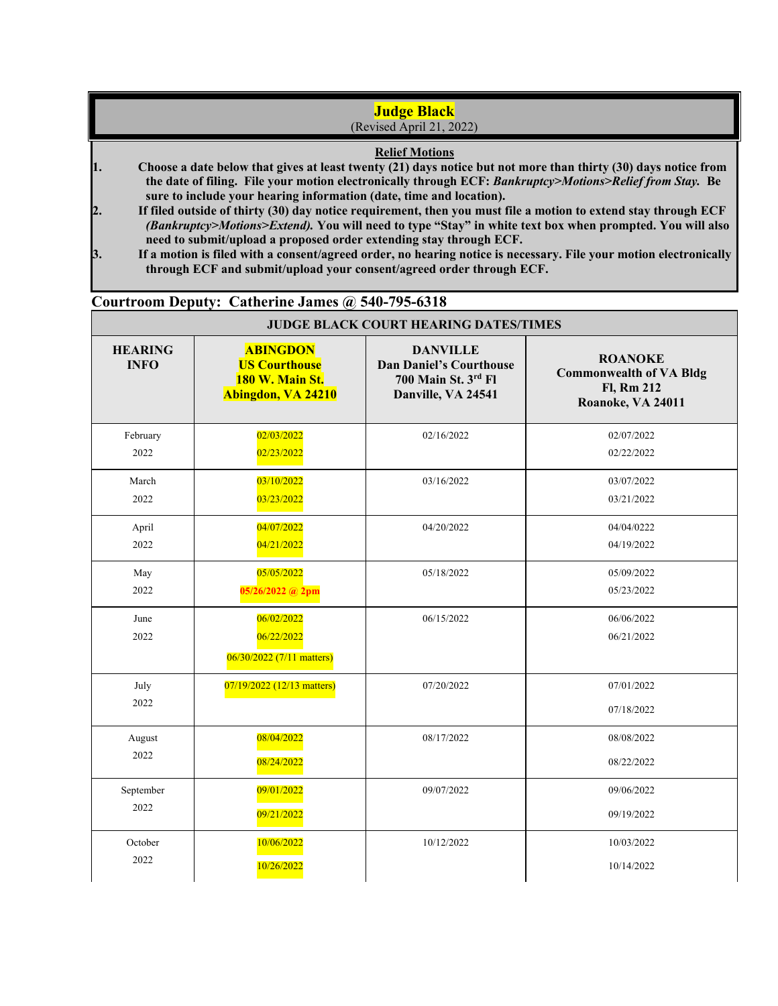## **Judge Black** (Revised April 21, 2022)

## **Relief Motions**

- **1. Choose a date below that gives at least twenty (21) days notice but not more than thirty (30) days notice from the date of filing. File your motion electronically through ECF:** *Bankruptcy>Motions>Relief from Stay.* **Be sure to include your hearing information (date, time and location).**
- **2. If filed outside of thirty (30) day notice requirement, then you must file a motion to extend stay through ECF**  *(Bankruptcy>Motions>Extend).* **You will need to type "Stay" in white text box when prompted. You will also need to submit/upload a proposed order extending stay through ECF.**
- **3. If a motion is filed with a consent/agreed order, no hearing notice is necessary. File your motion electronically through ECF and submit/upload your consent/agreed order through ECF.**

## **Courtroom Deputy: Catherine James @ 540-795-6318**

| <b>JUDGE BLACK COURT HEARING DATES/TIMES</b> |                                                                                  |                                                                                                |                                                                                     |  |
|----------------------------------------------|----------------------------------------------------------------------------------|------------------------------------------------------------------------------------------------|-------------------------------------------------------------------------------------|--|
| <b>HEARING</b><br><b>INFO</b>                | <b>ABINGDON</b><br><b>US Courthouse</b><br>180 W. Main St.<br>Abingdon, VA 24210 | <b>DANVILLE</b><br><b>Dan Daniel's Courthouse</b><br>700 Main St. 3rd Fl<br>Danville, VA 24541 | <b>ROANOKE</b><br><b>Commonwealth of VA Bldg</b><br>Fl, Rm 212<br>Roanoke, VA 24011 |  |
| February                                     | 02/03/2022                                                                       | 02/16/2022                                                                                     | 02/07/2022                                                                          |  |
| 2022                                         | 02/23/2022                                                                       |                                                                                                | 02/22/2022                                                                          |  |
| March                                        | 03/10/2022                                                                       | 03/16/2022                                                                                     | 03/07/2022                                                                          |  |
| 2022                                         | 03/23/2022                                                                       |                                                                                                | 03/21/2022                                                                          |  |
| April                                        | 04/07/2022                                                                       | 04/20/2022                                                                                     | 04/04/0222                                                                          |  |
| 2022                                         | 04/21/2022                                                                       |                                                                                                | 04/19/2022                                                                          |  |
| May                                          | 05/05/2022                                                                       | 05/18/2022                                                                                     | 05/09/2022                                                                          |  |
| 2022                                         | 05/26/2022 @ 2pm                                                                 |                                                                                                | 05/23/2022                                                                          |  |
| June<br>2022                                 | 06/02/2022<br>06/22/2022<br>06/30/2022 (7/11 matters)                            | 06/15/2022                                                                                     | 06/06/2022<br>06/21/2022                                                            |  |
| July<br>2022                                 | 07/19/2022 (12/13 matters)                                                       | 07/20/2022                                                                                     | 07/01/2022<br>07/18/2022                                                            |  |
| August                                       | 08/04/2022                                                                       | 08/17/2022                                                                                     | 08/08/2022                                                                          |  |
| 2022                                         | 08/24/2022                                                                       |                                                                                                | 08/22/2022                                                                          |  |
| September                                    | 09/01/2022                                                                       | 09/07/2022                                                                                     | 09/06/2022                                                                          |  |
| 2022                                         | 09/21/2022                                                                       |                                                                                                | 09/19/2022                                                                          |  |
| October                                      | 10/06/2022                                                                       | 10/12/2022                                                                                     | 10/03/2022                                                                          |  |
| 2022                                         | 10/26/2022                                                                       |                                                                                                | 10/14/2022                                                                          |  |